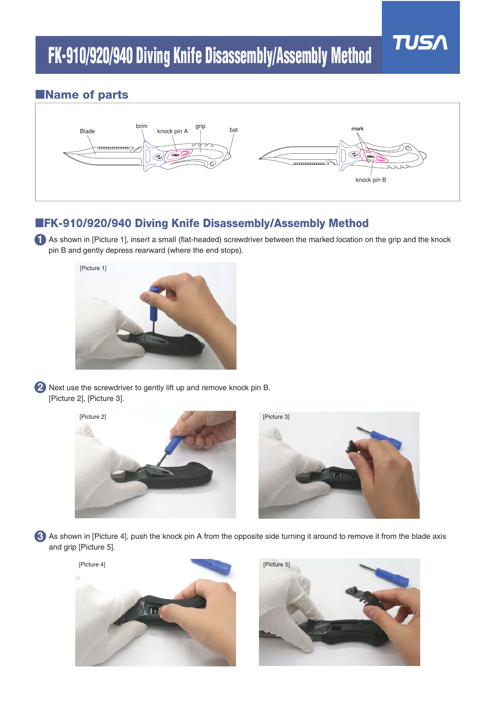

## ■**Name of parts**



## ■**FK-910/920/940 Diving Knife Disassembly/Assembly Method**

**1** As shown in [Picture 1], insert a small (flat-headed) screwdriver between the marked location on the grip and the knock pin B and gently depress rearward (where the end stops).



Next use the screwdriver to gently lift up and remove knock pin B. **2** [Picture 2], [Picture 3].



As shown in [Picture 4], push the knock pin A from the opposite side turning it around to remove it from the blade axis **3**and grip [Picture 5].